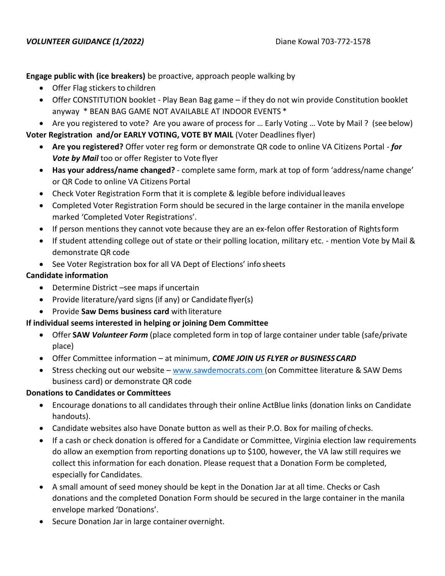**Engage public with (ice breakers)** be proactive, approach people walking by

- Offer Flag stickers to children
- Offer CONSTITUTION booklet Play Bean Bag game if they do not win provide Constitution booklet anyway \* BEAN BAG GAME NOT AVAILABLE AT INDOOR EVENTS \*
- Are you registered to vote? Are you aware of process for … Early Voting … Vote by Mail ? (see below) **Voter Registration and/or EARLY VOTING, VOTE BY MAIL** (Voter Deadlines flyer)
	- **Are you registered?** Offer voter reg form or demonstrate QR code to online VA Citizens Portal *for Vote by Mail* too or offer Register to Vote flyer
	- **Has your address/name changed?**  complete same form, mark at top of form 'address/name change' or QR Code to online VA Citizens Portal
	- Check Voter Registration Form that it is complete & legible before individual leaves
	- Completed Voter Registration Form should be secured in the large container in the manila envelope marked 'Completed Voter Registrations'.
	- If person mentions they cannot vote because they are an ex-felon offer Restoration of Rightsform
	- If student attending college out of state or their polling location, military etc. mention Vote by Mail & demonstrate QR code
	- See Voter Registration box for all VA Dept of Elections' info sheets

### **Candidate information**

- Determine District –see maps if uncertain
- Provide literature/yard signs (if any) or Candidateflyer(s)
- Provide **Saw Dems business card** with literature

# **If individual seems interested in helping or joining Dem Committee**

- Offer **SAW** *Volunteer Form* (place completed form in top of large container under table (safe/private place)
- Offer Committee information at minimum, *COME JOIN US FLYER or BUSINESSCARD*
- Stress checking out our website [www.sawdemocrats.com \(](http://www.sawdemocrats.com/)on Committee literature & SAW Dems business card) or demonstrate QR code

# **Donations to Candidates or Committees**

- Encourage donations to all candidates through their online ActBlue links (donation links on Candidate handouts).
- Candidate websites also have Donate button as well as their P.O. Box for mailing of checks.
- If a cash or check donation is offered for a Candidate or Committee, Virginia election law requirements do allow an exemption from reporting donations up to \$100, however, the VA law still requires we collect this information for each donation. Please request that a Donation Form be completed, especially for Candidates.
- A small amount of seed money should be kept in the Donation Jar at all time. Checks or Cash donations and the completed Donation Form should be secured in the large container in the manila envelope marked 'Donations'.
- Secure Donation Jar in large container overnight.